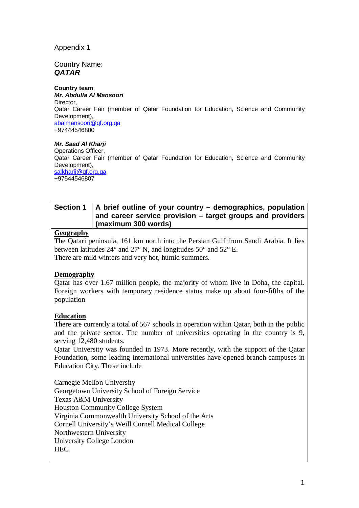## Appendix 1

### Country Name: *QATAR*

#### **Country team**:

*Mr. Abdulla Al Mansoori* **Director** Qatar Career Fair (member of Qatar Foundation for Education, Science and Community Development), [abalmansoori@qf.org.qa](mailto:abalmansoori@qf.org.qa) +97444546800

#### *Mr. Saad Al Kharji*

Operations Officer, Qatar Career Fair (member of Qatar Foundation for Education, Science and Community Development), [salkharji@qf.org.qa](mailto:salkharji@qf.org.qa) +97544546807

# **Section 1 A brief outline of your country – demographics, population and career service provision – target groups and providers (maximum 300 words)**

## **Geography**

The Qatari peninsula, 161 km north into the Persian Gulf from Saudi Arabia. It lies between latitudes 24° and 27° N, and longitudes 50° and 52° E. There are mild winters and very hot, humid summers.

### **Demography**

Qatar has over 1.67 million people, the majority of whom live in Doha, the capital. Foreign workers with temporary residence status make up about four-fifths of the population

# **Education**

There are currently a total of 567 schools in operation within Qatar, both in the public and the private sector. The number of universities operating in the country is 9, serving 12,480 students.

Qatar University was founded in 1973. More recently, with the support of the Qatar Foundation, some leading international universities have opened branch campuses in Education City. These include

Carnegie Mellon University Georgetown University School of Foreign Service Texas A&M University Houston Community College System Virginia Commonwealth University School of the Arts Cornell University's Weill Cornell Medical College Northwestern University University College London HEC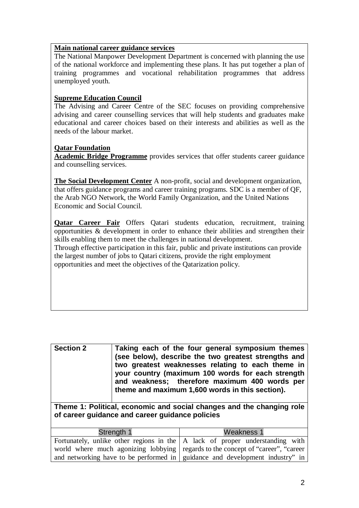#### **Main national career guidance services**

The National Manpower Development Department is concerned with planning the use of the national workforce and implementing these plans. It has put together a plan of training programmes and vocational rehabilitation programmes that address unemployed youth.

### **Supreme Education Council**

The Advising and Career Centre of the SEC focuses on providing comprehensive advising and career counselling services that will help students and graduates make educational and career choices based on their interests and abilities as well as the needs of the labour market.

### **Qatar Foundation**

**Academic Bridge Programme** provides services that offer students career guidance and counselling services.

**The Social Development Center** A non-profit, social and development organization, that offers guidance programs and career training programs. SDC is a member of QF, the Arab NGO Network, the World Family Organization, and the United Nations Economic and Social Council.

**Qatar Career Fair** Offers Qatari students education, recruitment, training opportunities & development in order to enhance their abilities and strengthen their skills enabling them to meet the challenges in national development.

Through effective participation in this fair, public and private institutions can provide the largest number of jobs to Qatari citizens, provide the right employment opportunities and meet the objectives of the Qatarization policy.

| <b>Section 2</b><br>Taking each of the four general symposium themes<br>(see below), describe the two greatest strengths and<br>two greatest weaknesses relating to each theme in<br>your country (maximum 100 words for each strength<br>and weakness; therefore maximum 400 words per<br>theme and maximum 1,600 words in this section). |                                                                                                                                                                               |
|--------------------------------------------------------------------------------------------------------------------------------------------------------------------------------------------------------------------------------------------------------------------------------------------------------------------------------------------|-------------------------------------------------------------------------------------------------------------------------------------------------------------------------------|
| Theme 1: Political, economic and social changes and the changing role<br>of career guidance and career guidance policies                                                                                                                                                                                                                   |                                                                                                                                                                               |
| Strength 1                                                                                                                                                                                                                                                                                                                                 | Weakness 1                                                                                                                                                                    |
|                                                                                                                                                                                                                                                                                                                                            | Fortunately, unlike other regions in the $\overline{A}$ lack of proper understanding with<br>world where much agonizing lobbying regards to the concept of "career", "career" |

and networking have to be performed in guidance and development industry" in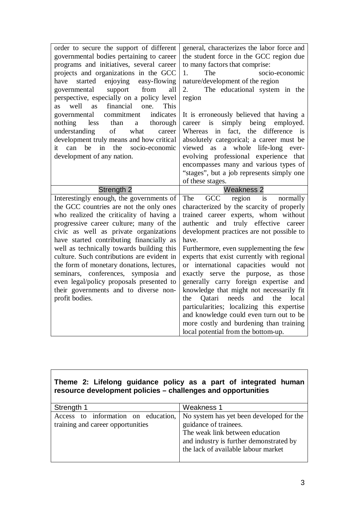| order to secure the support of different<br>governmental bodies pertaining to career<br>programs and initiatives, several career<br>projects and organizations in the GCC<br>enjoying easy-flowing<br>started<br>have<br>from<br>support<br>all<br>governmental<br>perspective, especially on a policy level<br>financial<br>well<br><b>as</b><br>one.<br>This<br><b>as</b><br>commitment<br>indicates<br>governmental<br>nothing<br>than<br>thorough<br>less<br>a<br>of<br>understanding<br>what<br>career<br>development truly means and how critical<br>it can be<br>in the<br>socio-economic<br>development of any nation. | general, characterizes the labor force and<br>the student force in the GCC region due<br>to many factors that comprise:<br>1.<br>The<br>socio-economic<br>nature/development of the region<br>2.<br>The educational system in the<br>region<br>It is erroneously believed that having a<br>simply<br>being<br>employed.<br>is<br>career<br>difference<br>fact,<br>the<br>Whereas<br>in<br>is<br>absolutely categorical; a career must be<br>viewed as a whole life-long<br>ever-<br>evolving professional experience that<br>encompasses many and various types of<br>"stages", but a job represents simply one |
|--------------------------------------------------------------------------------------------------------------------------------------------------------------------------------------------------------------------------------------------------------------------------------------------------------------------------------------------------------------------------------------------------------------------------------------------------------------------------------------------------------------------------------------------------------------------------------------------------------------------------------|-----------------------------------------------------------------------------------------------------------------------------------------------------------------------------------------------------------------------------------------------------------------------------------------------------------------------------------------------------------------------------------------------------------------------------------------------------------------------------------------------------------------------------------------------------------------------------------------------------------------|
| Strength <sub>2</sub>                                                                                                                                                                                                                                                                                                                                                                                                                                                                                                                                                                                                          | of these stages.<br><b>Weakness 2</b>                                                                                                                                                                                                                                                                                                                                                                                                                                                                                                                                                                           |
| Interestingly enough, the governments of                                                                                                                                                                                                                                                                                                                                                                                                                                                                                                                                                                                       | GCC<br>The<br>region is<br>normally                                                                                                                                                                                                                                                                                                                                                                                                                                                                                                                                                                             |
| the GCC countries are not the only ones                                                                                                                                                                                                                                                                                                                                                                                                                                                                                                                                                                                        | characterized by the scarcity of properly                                                                                                                                                                                                                                                                                                                                                                                                                                                                                                                                                                       |
| who realized the criticality of having a                                                                                                                                                                                                                                                                                                                                                                                                                                                                                                                                                                                       | trained career experts, whom without                                                                                                                                                                                                                                                                                                                                                                                                                                                                                                                                                                            |
| progressive career culture; many of the                                                                                                                                                                                                                                                                                                                                                                                                                                                                                                                                                                                        | and truly effective career<br>authentic                                                                                                                                                                                                                                                                                                                                                                                                                                                                                                                                                                         |
| civic as well as private organizations                                                                                                                                                                                                                                                                                                                                                                                                                                                                                                                                                                                         | development practices are not possible to                                                                                                                                                                                                                                                                                                                                                                                                                                                                                                                                                                       |
| have started contributing financially as                                                                                                                                                                                                                                                                                                                                                                                                                                                                                                                                                                                       | have.                                                                                                                                                                                                                                                                                                                                                                                                                                                                                                                                                                                                           |
| well as technically towards building this                                                                                                                                                                                                                                                                                                                                                                                                                                                                                                                                                                                      | Furthermore, even supplementing the few                                                                                                                                                                                                                                                                                                                                                                                                                                                                                                                                                                         |
| culture. Such contributions are evident in<br>the form of monetary donations, lectures,                                                                                                                                                                                                                                                                                                                                                                                                                                                                                                                                        | experts that exist currently with regional<br>or international capacities would not                                                                                                                                                                                                                                                                                                                                                                                                                                                                                                                             |
| seminars, conferences, symposia and                                                                                                                                                                                                                                                                                                                                                                                                                                                                                                                                                                                            | exactly serve the purpose, as those                                                                                                                                                                                                                                                                                                                                                                                                                                                                                                                                                                             |
| even legal/policy proposals presented to                                                                                                                                                                                                                                                                                                                                                                                                                                                                                                                                                                                       | generally carry foreign expertise and                                                                                                                                                                                                                                                                                                                                                                                                                                                                                                                                                                           |
| their governments and to diverse non-                                                                                                                                                                                                                                                                                                                                                                                                                                                                                                                                                                                          | knowledge that might not necessarily fit                                                                                                                                                                                                                                                                                                                                                                                                                                                                                                                                                                        |
| profit bodies.                                                                                                                                                                                                                                                                                                                                                                                                                                                                                                                                                                                                                 | Qatari<br>needs<br>and<br>the<br>the<br>local                                                                                                                                                                                                                                                                                                                                                                                                                                                                                                                                                                   |
|                                                                                                                                                                                                                                                                                                                                                                                                                                                                                                                                                                                                                                | particularities; localizing this expertise                                                                                                                                                                                                                                                                                                                                                                                                                                                                                                                                                                      |
|                                                                                                                                                                                                                                                                                                                                                                                                                                                                                                                                                                                                                                | and knowledge could even turn out to be                                                                                                                                                                                                                                                                                                                                                                                                                                                                                                                                                                         |
|                                                                                                                                                                                                                                                                                                                                                                                                                                                                                                                                                                                                                                | more costly and burdening than training                                                                                                                                                                                                                                                                                                                                                                                                                                                                                                                                                                         |
|                                                                                                                                                                                                                                                                                                                                                                                                                                                                                                                                                                                                                                | local potential from the bottom-up.                                                                                                                                                                                                                                                                                                                                                                                                                                                                                                                                                                             |

# **Theme 2: Lifelong guidance policy as a part of integrated human resource development policies – challenges and opportunities**

| Strength 1                          | Weakness 1                               |
|-------------------------------------|------------------------------------------|
| Access to information on education, | No system has yet been developed for the |
| training and career opportunities   | guidance of trainees.                    |
|                                     | The weak link between education          |
|                                     | and industry is further demonstrated by  |
|                                     | the lack of available labour market      |
|                                     |                                          |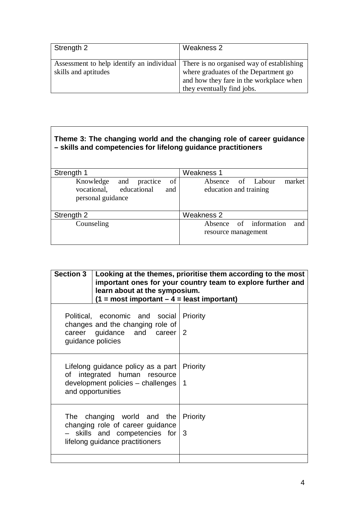| Strength 2                                                                                                  | Weakness 2                                                                                                    |
|-------------------------------------------------------------------------------------------------------------|---------------------------------------------------------------------------------------------------------------|
| Assessment to help identify an individual There is no organised way of establishing<br>skills and aptitudes | where graduates of the Department go<br>and how they fare in the workplace when<br>they eventually find jobs. |

| Theme 3: The changing world and the changing role of career guidance<br>- skills and competencies for lifelong guidance practitioners |                                                       |  |
|---------------------------------------------------------------------------------------------------------------------------------------|-------------------------------------------------------|--|
| Strength 1                                                                                                                            | <b>Weakness 1</b>                                     |  |
| of<br>practice<br>Knowledge<br>and<br>educational<br>vocational.<br>and<br>personal guidance                                          | Absence of Labour<br>market<br>education and training |  |
| Strength 2                                                                                                                            | Weakness 2                                            |  |
| Counseling                                                                                                                            | Absence of information<br>and<br>resource management  |  |

| Section $3 \mid$ Looking at the themes, prioritise them according to the most<br>important ones for your country team to explore further and<br>learn about at the symposium.<br>$(1 = most important - 4 = least important)$ |  |
|-------------------------------------------------------------------------------------------------------------------------------------------------------------------------------------------------------------------------------|--|
| Priority<br>career guidance and career $2$                                                                                                                                                                                    |  |
| Lifelong guidance policy as a part   Priority<br>development policies - challenges<br>$\blacksquare$ 1                                                                                                                        |  |
| The changing world and the<br>Priority<br>$-$ skills and competencies for $3$                                                                                                                                                 |  |
| Political, economic and social                                                                                                                                                                                                |  |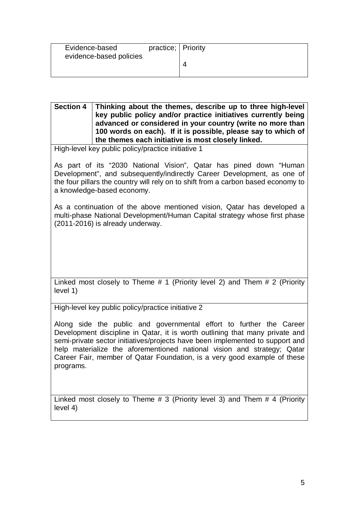| Evidence-based          | practice; Priority |  |
|-------------------------|--------------------|--|
| evidence-based policies |                    |  |
|                         |                    |  |
|                         |                    |  |

**Section 4 Thinking about the themes, describe up to three high-level key public policy and/or practice initiatives currently being advanced or considered in your country (write no more than 100 words on each). If it is possible, please say to which of the themes each initiative is most closely linked.** 

High-level key public policy/practice initiative 1

As part of its "2030 National Vision", Qatar has pined down "Human Development", and subsequently/indirectly Career Development, as one of the four pillars the country will rely on to shift from a carbon based economy to a knowledge-based economy.

As a continuation of the above mentioned vision, Qatar has developed a multi-phase National Development/Human Capital strategy whose first phase (2011-2016) is already underway.

Linked most closely to Theme # 1 (Priority level 2) and Them # 2 (Priority level 1)

High-level key public policy/practice initiative 2

Along side the public and governmental effort to further the Career Development discipline in Qatar, it is worth outlining that many private and semi-private sector initiatives/projects have been implemented to support and help materialize the aforementioned national vision and strategy; Qatar Career Fair, member of Qatar Foundation, is a very good example of these programs.

Linked most closely to Theme # 3 (Priority level 3) and Them # 4 (Priority level 4)